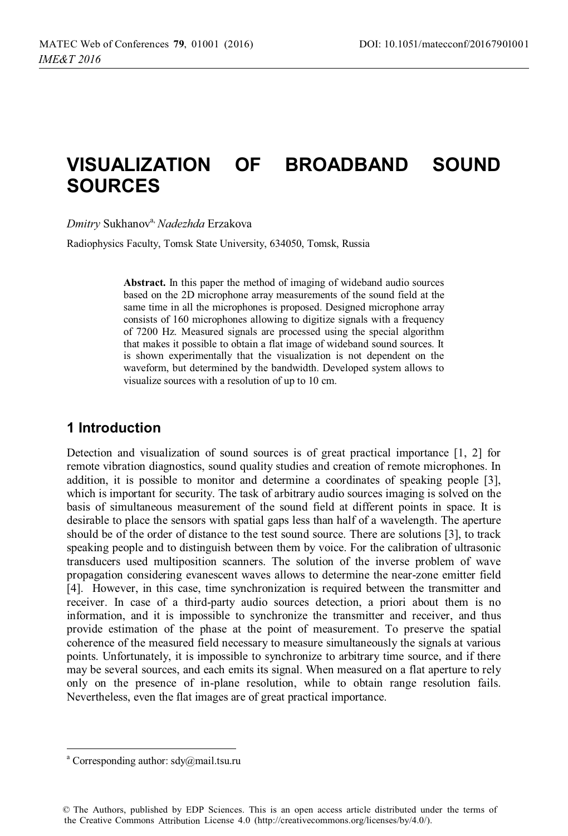# **VISUALIZATION OF BROADBAND SOUND SOURCES**

*Dmitry* Sukhanova, *Nadezhda* Erzakova

Radiophysics Faculty, Tomsk State University, 634050, Tomsk, Russia

**Abstract.** In this paper the method of imaging of wideband audio sources based on the 2D microphone array measurements of the sound field at the same time in all the microphones is proposed. Designed microphone array consists of 160 microphones allowing to digitize signals with a frequency of 7200 Hz. Measured signals are processed using the special algorithm that makes it possible to obtain a flat image of wideband sound sources. It is shown experimentally that the visualization is not dependent on the waveform, but determined by the bandwidth. Developed system allows to visualize sources with a resolution of up to 10 cm.

### **1 Introduction**

Detection and visualization of sound sources is of great practical importance [1, 2] for remote vibration diagnostics, sound quality studies and creation of remote microphones. In addition, it is possible to monitor and determine a coordinates of speaking people [3], which is important for security. The task of arbitrary audio sources imaging is solved on the basis of simultaneous measurement of the sound field at different points in space. It is desirable to place the sensors with spatial gaps less than half of a wavelength. The aperture should be of the order of distance to the test sound source. There are solutions [3], to track speaking people and to distinguish between them by voice. For the calibration of ultrasonic transducers used multiposition scanners. The solution of the inverse problem of wave propagation considering evanescent waves allows to determine the near-zone emitter field [4]. However, in this case, time synchronization is required between the transmitter and receiver. In case of a third-party audio sources detection, a priori about them is no information, and it is impossible to synchronize the transmitter and receiver, and thus provide estimation of the phase at the point of measurement. To preserve the spatial coherence of the measured field necessary to measure simultaneously the signals at various points. Unfortunately, it is impossible to synchronize to arbitrary time source, and if there may be several sources, and each emits its signal. When measured on a flat aperture to rely only on the presence of in-plane resolution, while to obtain range resolution fails. Nevertheless, even the flat images are of great practical importance.

a Corresponding author: sdy@mail.tsu.ru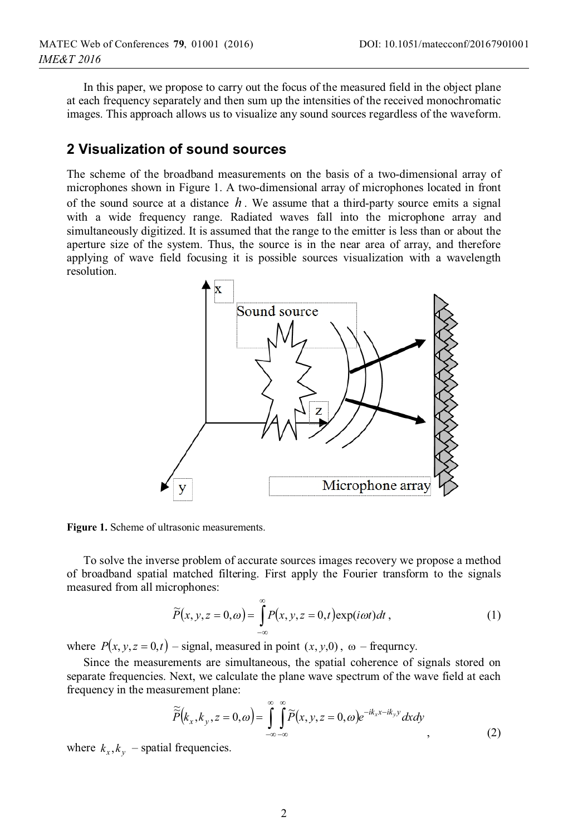In this paper, we propose to carry out the focus of the measured field in the object plane at each frequency separately and then sum up the intensities of the received monochromatic images. This approach allows us to visualize any sound sources regardless of the waveform.

### **2 Visualization of sound sources**

The scheme of the broadband measurements on the basis of a two-dimensional array of microphones shown in Figure 1. A two-dimensional array of microphones located in front of the sound source at a distance  $h$ . We assume that a third-party source emits a signal with a wide frequency range. Radiated waves fall into the microphone array and simultaneously digitized. It is assumed that the range to the emitter is less than or about the aperture size of the system. Thus, the source is in the near area of array, and therefore applying of wave field focusing it is possible sources visualization with a wavelength resolution.



**Figure 1.** Scheme of ultrasonic measurements.

To solve the inverse problem of accurate sources images recovery we propose a method of broadband spatial matched filtering. First apply the Fourier transform to the signals measured from all microphones:

$$
\widetilde{P}(x, y, z = 0, \omega) = \int_{-\infty}^{\infty} P(x, y, z = 0, t) \exp(i\omega t) dt,
$$
\n(1)

where  $P(x, y, z = 0, t)$  – signal, measured in point  $(x, y, 0)$ ,  $\omega$  – frequrncy.

Since the measurements are simultaneous, the spatial coherence of signals stored on separate frequencies. Next, we calculate the plane wave spectrum of the wave field at each frequency in the measurement plane:

$$
\widetilde{\widetilde{P}}(k_{x},k_{y},z=0,\omega) = \int_{-\infty-\infty}^{\infty} \int_{-\infty}^{\infty} \widetilde{P}(x,y,z=0,\omega)e^{-ik_{x}x-ik_{y}y}dxdy,
$$
\n(2)

where  $k_x, k_y$  – spatial frequencies.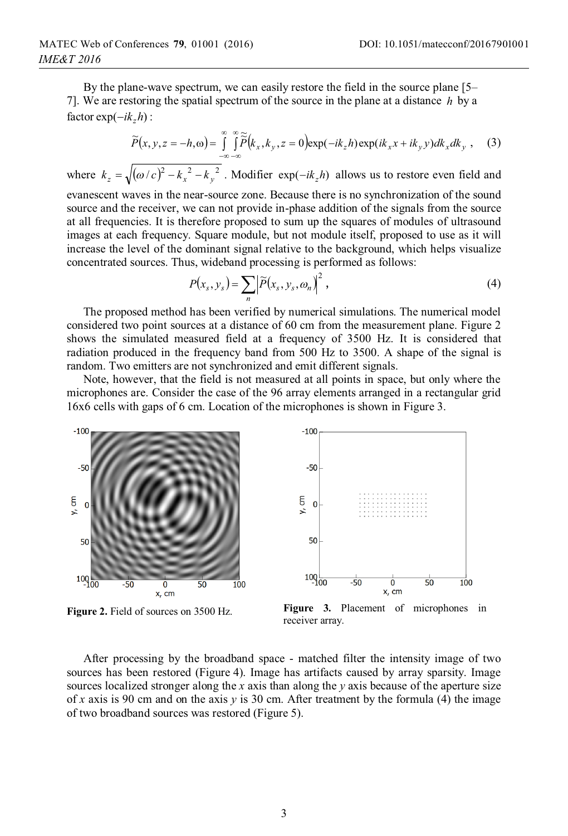By the plane-wave spectrum, we can easily restore the field in the source plane [5– 7]. We are restoring the spatial spectrum of the source in the plane at a distance *h* by a  $factor \exp(-ik_h)$ :

$$
\widetilde{P}(x, y, z = -h, \omega) = \int_{-\infty}^{\infty} \int_{-\infty}^{\infty} \widetilde{\widetilde{P}}(k_x, k_y, z = 0) \exp(-ik_z h) \exp(ik_x x + ik_y y) dk_x dk_y,
$$
 (3)

where  $k_z = \sqrt{(\omega/c)^2 - k_x^2 - k_y^2}$ . Modifier exp( $-i k_z h$ ) allows us to restore even field and

evanescent waves in the near-source zone. Because there is no synchronization of the sound source and the receiver, we can not provide in-phase addition of the signals from the source at all frequencies. It is therefore proposed to sum up the squares of modules of ultrasound images at each frequency. Square module, but not module itself, proposed to use as it will increase the level of the dominant signal relative to the background, which helps visualize concentrated sources. Thus, wideband processing is performed as follows:

$$
P(x_s, y_s) = \sum_{n} \left| \widetilde{P}(x_s, y_s, \omega_n) \right|^2, \qquad (4)
$$

The proposed method has been verified by numerical simulations. The numerical model considered two point sources at a distance of 60 cm from the measurement plane. Figure 2 shows the simulated measured field at a frequency of 3500 Hz. It is considered that radiation produced in the frequency band from 500 Hz to 3500. A shape of the signal is random. Two emitters are not synchronized and emit different signals.

Note, however, that the field is not measured at all points in space, but only where the microphones are. Consider the case of the 96 array elements arranged in a rectangular grid 16x6 cells with gaps of 6 cm. Location of the microphones is shown in Figure 3.





**Figure 2.** Field of sources on 3500 Hz. **Figure 3.** Placement of microphones in receiver array.

After processing by the broadband space - matched filter the intensity image of two sources has been restored (Figure 4). Image has artifacts caused by array sparsity. Image sources localized stronger along the *x* axis than along the *y* axis because of the aperture size of *x* axis is 90 cm and on the axis  $y$  is 30 cm. After treatment by the formula (4) the image of two broadband sources was restored (Figure 5).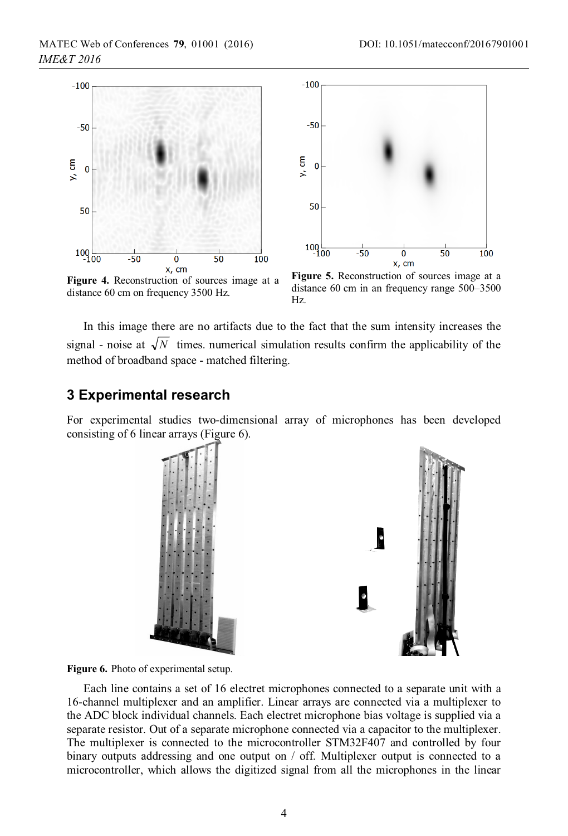

**Figure 4.** Reconstruction of sources image at a distance 60 cm on frequency 3500 Hz.



**Figure 5.** Reconstruction of sources image at a distance 60 cm in an frequency range 500–3500 Hz.

In this image there are no artifacts due to the fact that the sum intensity increases the signal - noise at  $\sqrt{N}$  times. numerical simulation results confirm the applicability of the method of broadband space - matched filtering.

#### **3 Experimental research**

For experimental studies two-dimensional array of microphones has been developed consisting of 6 linear arrays (Figure 6).





Each line contains a set of 16 electret microphones connected to a separate unit with a 16-channel multiplexer and an amplifier. Linear arrays are connected via a multiplexer to the ADC block individual channels. Each electret microphone bias voltage is supplied via a separate resistor. Out of a separate microphone connected via a capacitor to the multiplexer. The multiplexer is connected to the microcontroller STM32F407 and controlled by four binary outputs addressing and one output on / off. Multiplexer output is connected to a microcontroller, which allows the digitized signal from all the microphones in the linear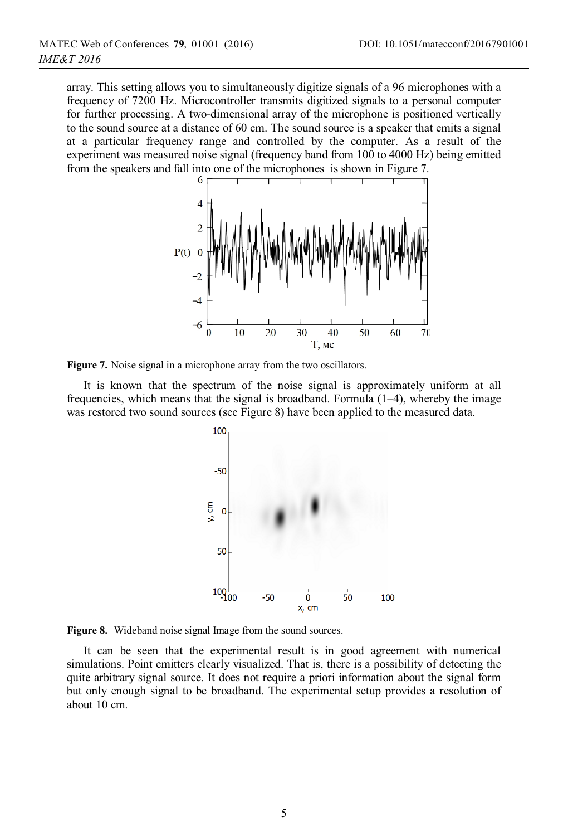array. This setting allows you to simultaneously digitize signals of a 96 microphones with a frequency of 7200 Hz. Microcontroller transmits digitized signals to a personal computer for further processing. A two-dimensional array of the microphone is positioned vertically to the sound source at a distance of 60 cm. The sound source is a speaker that emits a signal at a particular frequency range and controlled by the computer. As a result of the experiment was measured noise signal (frequency band from 100 to 4000 Hz) being emitted from the speakers and fall into one of the microphones is shown in Figure 7.



**Figure 7.** Noise signal in a microphone array from the two oscillators.

It is known that the spectrum of the noise signal is approximately uniform at all frequencies, which means that the signal is broadband. Formula  $(1-4)$ , whereby the image was restored two sound sources (see Figure 8) have been applied to the measured data.





It can be seen that the experimental result is in good agreement with numerical simulations. Point emitters clearly visualized. That is, there is a possibility of detecting the quite arbitrary signal source. It does not require a priori information about the signal form but only enough signal to be broadband. The experimental setup provides a resolution of about 10 cm.